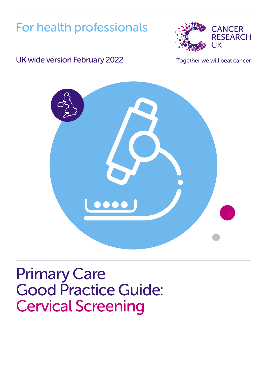For health professionals



### UK wide version February 2022 Together we will beat cancer



# Primary Care Good Practice Guide: Cervical Screening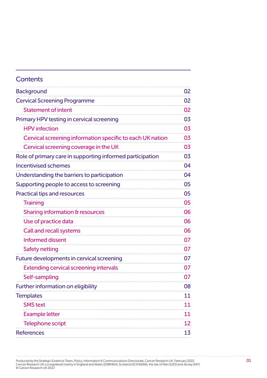| <b>Contents</b>                                           |    |
|-----------------------------------------------------------|----|
| <b>Background</b>                                         | 02 |
| <b>Cervical Screening Programme</b>                       | 02 |
| <b>Statement of intent</b>                                | 02 |
| Primary HPV testing in cervical screening                 | 03 |
| <b>HPV</b> infection                                      | 03 |
| Cervical screening information specific to each UK nation | 03 |
| Cervical screening coverage in the UK                     | 03 |
| Role of primary care in supporting informed participation | 03 |
| <b>Incentivised schemes</b>                               | 04 |
| Understanding the barriers to participation               | 04 |
| Supporting people to access to screening                  | 05 |
| <b>Practical tips and resources</b>                       | 05 |
| <b>Training</b>                                           | 05 |
| Sharing information & resources                           | 06 |
| Use of practice data                                      | 06 |
| Call and recall systems                                   | 06 |
| <b>Informed dissent</b>                                   | 07 |
| Safety netting                                            | 07 |
| Future developments in cervical screening                 | 07 |
| <b>Extending cervical screening intervals</b>             | 07 |
| Self-sampling                                             | 07 |
| Further information on eligibility                        | 08 |
| <b>Templates</b>                                          | 11 |
| <b>SMS</b> text                                           | 11 |
| <b>Example letter</b>                                     | 11 |
| <b>Telephone script</b>                                   | 12 |
| <b>References</b>                                         | 13 |

Produced by the Strategic Evidence Team, Policy, Information & Communications Directorate, Cancer Research UK, February 2022. 01 Cancer Research UK is a registered charity in England and Wales (1089464), Scotland (SC041666), the Isle of Man (1103) and Jersey (247). © Cancer Research UK 2022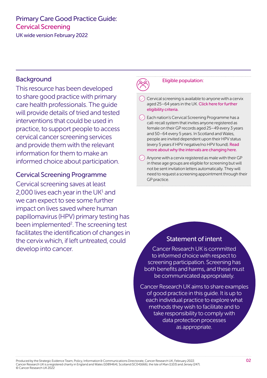<span id="page-2-0"></span>UK wide version February 2022

#### **Background**

This resource has been developed to share good practice with primary care health professionals. The guide will provide details of tried and tested interventions that could be used in practice, to support people to access cervical cancer screening services and provide them with the relevant information for them to make an informed choice about participation.

#### Cervical Screening Programme

Cervical screening saves at least 2,000 lives each year in the  $UK<sup>1</sup>$  $UK<sup>1</sup>$  $UK<sup>1</sup>$  and we can expect to see some further impact on lives saved where human papillomavirus (HPV) primary testing has been implemented<sup>2</sup>. The screening test facilitates the identification of changes in the cervix which, if left untreated, could develop into cancer.

#### Eligible population:

Cervical screening is available to anyone with a cervix aged 25–64 years in the UK. [Click here for further](#page-8-1)  [eligibility criteria.](#page-8-1)

 $(\check{a})$  Each nation's Cervical Screening Programme has a call-recall system that invites anyone registered as female on their GP records aged 25–49 every 3 years and 50–64 every 5 years. In Scotland and Wales, people are invited dependent upon their HPV status (every 5 years if HPV negative/no HPV found). [Read](#page-7-0)  [more about why the intervals are changing here.](#page-7-0)

 $\Diamond$  Anyone with a cervix registered as male with their GP in these age groups are eligible for screening but will not be sent invitation letters automatically. They will need to request a screening appointment through their GP practice.

#### Statement of intent

Cancer Research UK is committed to informed choice with respect to screening participation. Screening has both benefits and harms, and these must be communicated appropriately.

Cancer Research UK aims to share examples of good practice in this guide. It is up to each individual practice to explore what methods they wish to facilitate and to take responsibility to comply with data protection processes as appropriate.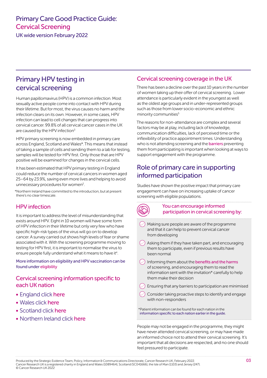<span id="page-3-0"></span>UK wide version February 2022

### Primary HPV testing in cervical screening

Human papillomavirus (HPV) is a common infection. Most sexually active people come into contact with HPV during their lifetime. But for most, the virus causes no harm and the infection clears on its own. However, in some cases, HPV infection can lead to cell changes that can progress into cervical cancer. 99.8% of all cervical cancer cases in the UK are caused by the HPV infection<sup>3</sup>

HPV primary screening is now embedded in primary care across England, Scotland and Wales\*. This means that instead of taking a sample of cells and sending them to a lab for testing, samples will be tested for HPV first. Only those that are HPV positive will be examined for changes in the cervical cells.

It has been estimated that HPV primary testing in England could reduce the number of cervical cancers in women aged 25–64 by 23.9%, saving even more lives and helping to avoid unnecessary procedures for women<sup>2</sup>.

\*Northern Ireland have committed to the introduction, but at present there's no clear timescale.

#### HPV infection

It is important to address the level of misunderstanding that exists around HPV. Eight in 10 women will have some form of HPV infection in their lifetime but only very few who have specific high-risk types of the virus will go on to develop cancer. A survey carried out shows high levels of fear or shame associated with it. With the screening programme moving to testing for HPV first, it is important to normalise the virus to ensure people fully understand what it means to have it<sup>4</sup>.

More information on eligibility and HPV vaccination can be found under [eligibility](#page-8-1)

#### Cervical screening information specific to each UK nation

- England click [here](https://www.gov.uk/guidance/cervical-screening-programme-overview)
- Wales click [here](https://phw.nhs.wales/services-and-teams/cervical-screening-wales/)
- Scotland click [here](https://www.nss.nhs.scot/specialist-healthcare/screening-programmes/cervical-screening/)
- Northern Ireland click [here](https://cancerscreening.hscni.net/Cervical%20Screening%20Health%20Professionals.htm)

#### Cervical screening coverage in the UK

There has been a decline over the past 10 years in the number of women taking up their offer of cervical screening. Lower attendance is particularly evident in the youngest as well as the oldest age groups and in under-represented groups such as those from lower socio-economic and ethnic minority communities<sup>[5](#page-13-4)</sup>

The reasons for non-attendance are complex and several factors may be at play, including lack of knowledge, communication difficulties, lack of perceived time or the inflexibility of practice appointment times. Understanding who is not attending screening and the [barriers](#page-4-1) preventing them from participating is important when looking at ways to support engagement with the programme.

### Role of primary care in supporting informed participation

Studies have shown the positive impact that primary care engagement can have on increasing uptake of cancer screening with eligible populations.



#### You can encourage informed participation in cervical screening by:

- $\heartsuit$  Making sure people are aware of the programme and that it can help to prevent cervical cancer from developing
- $\oslash$  Asking them if they have taken part, and encouraging them to participate, even if previous results have been normal
- $\heartsuit$  Informing them about the [benefits and the harms](https://www.cancerresearchuk.org/about-cancer/cervical-cancer/getting-diagnosed/screening/about) of screening, and encouraging them to read the information sent with the invitation\* carefully to help them make their decision
- Ensuring that any barriers to participation are minimised
- Consider taking proactive steps to identify and engage with non-responders

\*Patient information can be found for each nation in the information specific to each nation earlier in the guide.

People may not be engaged in the programme, they might have never attended cervical screening, or may have made an informed choice not to attend their cervical screening. It's important that all decisions are respected, and no one should feel pressured to participate.

Produced by the Strategic Evidence Team, Policy, Information & Communications Directorate, Cancer Research UK, February 2022. Cancer Research UK is a registered charity in England and Wales (1089464), Scotland (SC041666), the Isle of Man (1103) and Jersey (247). © Cancer Research UK 2022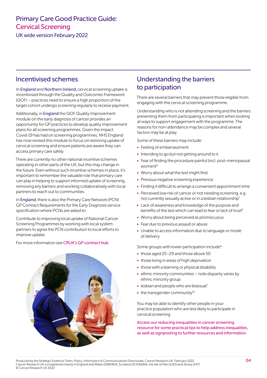<span id="page-4-0"></span>UK wide version February 2022

#### Incentivised schemes

In England and Northern Ireland, cervical screening uptake is incentivised through the Quality and Outcomes Framework (QOF) – practices need to ensure a high proportion of the target cohort undergo screening regularly to receive payment.

Additionally, in England the QOF Quality Improvement module on the early diagnosis of cancer provides an opportunity for GP practices to develop quality improvement plans for all screening programmes. Given the impact Covid-19 has had on screening programmes, NHS England has now revised this module to focus on restoring uptake of cervical screening and ensure patients are aware they can access primary care safely.

There are currently no other national incentive schemes operating in other parts of the UK, but this may change in the future. Even without such incentive schemes in place, it's important to remember the valuable role that primary care can play in helping to support informed uptake of screening, removing any barriers and working collaboratively with local partners to reach out to communities.

In England, there is also the Primary Care Network (PCN) GP Contract Requirements for the Early Diagnosis service specification where PCNs are asked to:

Contribute to improving local uptake of National Cancer Screening Programmes by working with local system partners to agree the PCN contribution to local efforts to improve uptake.

For more information see [CRUK's GP contract hub](https://www.cancerresearchuk.org/health-professional/learning-and-support/resources/gp-contract-guide)



### <span id="page-4-1"></span>Understanding the barriers to participation

There are several barriers that may prevent those eligible from engaging with the cervical screening programme.

Understanding who is not attending screening and the barriers preventing them from participating is important when looking at ways to support engagement with the programme. The reasons for non-attendance may be complex and several factors may be at play.

Some of these barriers may include:

- Feeling of embarrassment
- Intending to go but not getting around to it
- Fear of finding the procedure painful (incl. post-menopausal women)<sup>[6](#page-13-5)</sup>
- Worry about what the test might find
- Previous negative screening experience
- Finding it difficult to arrange a convenient appointment time
- Perceived low risk of cancer or not needing screening, e.g. not currently sexually active or in a lesbian relationship<sup>7</sup>
- Lack of awareness and knowledge of the purpose and benefits of the test which can lead to fear or lack of trust<sup>[8](#page-13-7)</sup>
- Worry about being perceived as promiscuous
- Fear due to previous assault or abuse
- Unable to access information due to language or mode of delivery

Some groups with lower participation include<sup>[9](#page-13-8)</sup>:

- those aged 25-29 and those above 50
- those living in areas of high deprivation
- those with a learning or physical disability
- ethnic minority communities note disparity varies by ethnic minority group
- lesbian and people who are bisexual<sup>[7](#page-13-6)</sup>
- $\bullet$  the transgender community<sup>10</sup>

You may be able to identify other people in your practice population who are less likely to participate in cervical screening.

[Access our reducing inequalities in cancer screening](https://www.cancerresearchuk.org/health-professional/screening)  [resource for some practical tips to help address inequalities,](https://www.cancerresearchuk.org/health-professional/screening)  [as well as signposting to further resources and information.](https://www.cancerresearchuk.org/health-professional/screening)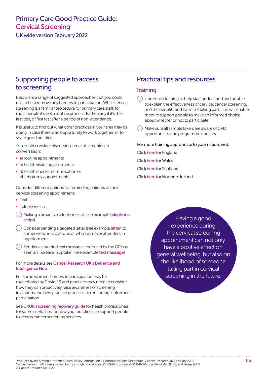<span id="page-5-0"></span>UK wide version February 2022

#### Supporting people to access to screening

Below are a range of suggested approaches that you could use to help remove any barriers to participation. While cervical screening is a familiar procedure for primary care staff, for most people it's not a routine process. Particularly if it's their first test, or first test after a period of non-attendance.

It is useful to find out what other practices in your area may be doing in case there is an opportunity to work together, or to share good practice.

You could consider discussing cervical screening in conversation:

- at routine appointments
- at health visitor appointments
- at health checks, immunisation or phlebotomy appointments

Consider different options for reminding patients of their cervical screening appointment:

- Text
- Telephone call
- A Making a proactive [telephone](#page-12-0) call (see example telephone [script](#page-12-0))
- Consider sending a targeted [letter](#page-11-0) (see example letter) to someone who is overdue or who has never attended an appointment
- $\langle$  Sending a targeted text message, endorsed by the GP has seen an increase in uptake<sup>11</sup> (see example [text message](#page-11-0))

#### For more details see [Cancer Research UK's Evidence and](http://www.cruk.org/increasing-cervical-screening-uptake)  [Intelligence Hub](http://www.cruk.org/increasing-cervical-screening-uptake)

For some women, barriers to participation may be exacerbated by Covid-19 and practices may need to consider how they can proactively raise awareness of screening invitations and new practice processes to encourage informed participation.

See [CRUK's screening recovery guide](https://www.cancerresearchuk.org/sites/default/files/recovery_of_screening_services_1.pdf) for health professionals for some useful tips for how your practice can support people to access cancer screening services.

#### Practical tips and resources

#### **Training**

- $\Diamond$  Undertake training to help staff understand and be able to explain the effectiveness of cervical cancer screening, and the benefits and harms of taking part. This will enable them to support people to make an informed choice about whether or not to participate.
- Make sure all sample takers are aware of CPD opportunities and programme updates.

For more training appropriate to your nation, visit:

- Click [here](https://www.gov.uk/guidance/cervical-screening-education-and-training) for England
- Click [here](https://learning.wales.nhs.uk/course/index.php?categoryid=48) for Wales
- Click [here](http://www.knowledge.scot.nhs.uk/generalpracticenurses/cervical-cytology-screening.aspx) for Scotland
- Click [here](http://www.cancerscreening.hscni.net/Cervical%20Screening%20Health%20Professionals.htm) for Northern Ireland

Having a good experience during the cervical screening appointment can not only have a positive effect on general wellbeing, but also on the likelihood of someone taking part in cervical screening in the future.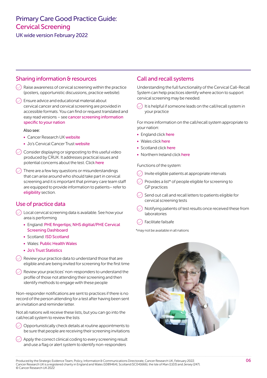<span id="page-6-0"></span>UK wide version February 2022

#### Sharing information & resources

- $\Diamond$  Raise awareness of cervical screening within the practice (posters, opportunistic discussions, practice website).
- **Ensure advice and educational material about** cervical cancer and cervical screening are provided in accessible formats. You can find or request translated and easy read versions – see cancer screening information specific to your nation

#### Also see:

- Cancer Research UK [website](https://publications.cancerresearchuk.org/search?q=cervical+screening)
- Jo's Cervical Cancer Trust [website](https://www.jostrust.org.uk/information/cervical-screening)
- Consider displaying or signposting to this useful video produced by CRUK. It addresses practical issues and potential concerns about the test. Click [here](https://www.cancerresearchuk.org/about-cancer/cervical-cancer/getting-diagnosed/screening/about)
- There are a few key questions or misunderstandings that can arise around who should take part in cervical screening and it is important that primary care team staff are equipped to provide information to patients– refer to [eligibility](#page-8-1) section.

#### Use of practice data

- Local cervical screening data is available. See how your area is performing
	- England: [PHE fingertips](https://fingertips.phe.org.uk/profile/cancerservices); [NHS digitial/PHE Cervical](https://app.powerbi.com/view?r=eyJrIjoiOGUzMWNhMTItODRhMS00YzM4LWI2ZWQtZmNhNDkwODIzYzkyIiwidCI6IjUwZjYwNzFmLWJiZmUtNDAxYS04ODAzLTY3Mzc0OGU2MjllMiIsImMiOjh9)  [Screening Dashboard](https://app.powerbi.com/view?r=eyJrIjoiOGUzMWNhMTItODRhMS00YzM4LWI2ZWQtZmNhNDkwODIzYzkyIiwidCI6IjUwZjYwNzFmLWJiZmUtNDAxYS04ODAzLTY3Mzc0OGU2MjllMiIsImMiOjh9)
	- Scotland: [ISD Scotland](https://publichealthscotland.scot/media/9538/2021-10-05-cervical-screening-report.pdf)
	- Wales: [Public Health Wales](https://phw.nhs.wales/services-and-teams/cervical-screening-wales/information-resources/programme-reports/)
	- [Jo's Trust Statistics](https://www.jostrust.org.uk/increasing-screening-attendance)
- $\Diamond$  Review vour practice data to understand those that are eligible and are being invited for screening for the first time
- $\Diamond$  Review your practices' non-responders to understand the profile of those not attending their screening and then identify methods to engage with these people

Non-responder notifications are sent to practices if there is no record of the person attending for a test after having been sent an invitation and reminder letter.

Not all nations will receive these lists, but you can go into the call/recall system to review the lists

- Opportunistically check details at routine appointments to be sure that people are receiving their screening invitations
- $\Diamond$  Apply the correct clinical coding to every screening result and use a flag or alert system to identify non-responders

#### Call and recall systems

Understanding the full functionality of the Cervical Call-Recall System can help practices identify where action to support cervical screening may be needed.

 $\heartsuit$  It is helpful if someone leads on the call/recall system in your practice

For more information on the call/recall system appropriate to your nation:

- England click [here](https://www.gov.uk/government/publications/cervical-screening-call-and-recall-administration-best-practice)
- Wales click [here](https://phw.nhs.wales/services-and-teams/cervical-screening-wales/)
- Scotland click [here](https://www.nss.nhs.scot/specialist-healthcare/screening-programmes/cervical-screening/national-it-system-scottish-cervical-call-recall-system-sccrs/)
- Northern Ireland click [here](http://www.cancerscreening.hscni.net/pdf/CALL_RECALL_BOOKLET_updated_July_2015.pdf)

Functions of the system:

- $\Diamond$  Invite eligible patients at appropriate intervals
- Provides a list\* of people eligible for screening to GP practices
- Send out call and recall letters to patients eligible for cervical screening tests
- $\Diamond$  Notifying patients of test results once received these from laboratories
- Facilitate failsafe

\*may not be available in all nations



Produced by the Strategic Evidence Team, Policy, Information & Communications Directorate, Cancer Research UK, February 2022. Cancer Research UK is a registered charity in England and Wales (1089464), Scotland (SC041666), the Isle of Man (1103) and Jersey (247). © Cancer Research UK 2022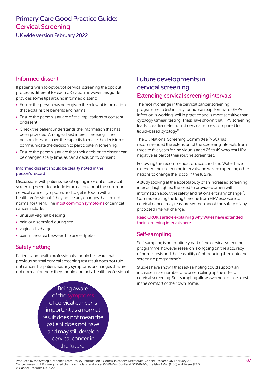<span id="page-7-0"></span>UK wide version February 2022

#### Informed dissent

If patients wish to opt out of cervical screening the opt out process is different for each UK nation however this guide provides some tips around informed dissent:

- Ensure the person has been given the relevant information that explains the benefits and harms
- Ensure the person is aware of the implications of consent or dissent
- Check the patient understands the information that has been provided. Arrange a best interest meeting if the person does not have the capacity to make the decision or communicate the decision to participate in screening.
- Ensure the person is aware that their decision to dissent can be changed at any time, as can a decision to consent

#### Informed dissent should be clearly noted in the person's record

Discussions with patients about opting in or out of cervical screening needs to include information about the common cervical cancer symptoms and to get in touch with a health professional if they notice any changes that are not normal for them. The [most common symptoms](https://www.cancerresearchuk.org/about-cancer/cervical-cancer/getting-diagnosed/screening/about) of cervical cancer include:

- unusual vaginal bleeding
- pain or discomfort during sex
- vaginal discharge
- pain in the area between hip bones (pelvis)

#### Safety netting

Patients and health professionals should be aware that a previous normal cervical screening test result does not rule out cancer. If a patient has any symptoms or changes that are not normal for them they should contact a health professional.

#### Future developments in cervical screening Extending cervical screening intervals

The recent change in the cervical cancer screening programme to test initially for human papillomavirus (HPV) infection is working well in practice and is more sensitive than cytology (smear) testing. Trials have shown that HPV screening leads to earlier detection of cervical lesions compared to liquid-based cytology $12$ .

The UK National Screening Committee (NSC) has recommended the extension of the screening intervals from three to five years for individuals aged 25 to 49 who test HPV negative as part of their routine screen test.

Following this recommendation, Scotland and Wales have extended their screening intervals and we are expecting other nations to change theirs too in the future.

A study looking at the acceptability of an increased screening interval, highlighted the need to provide women with information about the safety and rationale for any change<sup>13</sup>. Communicating the long timeline from HPV exposure to cervical cancer may reassure women about the safety of any proposed interval change.

[Read CRUK's article explaining why Wales have extended](https://www.cancerresearchuk.org/health-professional/screening/cervical-screening)  [their screening intervals here.](https://www.cancerresearchuk.org/health-professional/screening/cervical-screening)

#### Self-sampling

Self-sampling is not routinely part of the cervical screening programme, however research is ongoing on the accuracy of home-tests and the feasibility of introducing them into the screening programme<sup>[14](#page-13-13)</sup>.

Studies have shown that self-sampling could support an increase in the number of women taking up the offer of cervical screening. Self-sampling allows women to take a test in the comfort of their own home.

Being aware of the of cervical cancer is important as a normal result does not mean the patient does not have and may still develop cervical cancer in the future.

Produced by the Strategic Evidence Team, Policy, Information & Communications Directorate, Cancer Research UK, February 2022. Cancer Research UK is a registered charity in England and Wales (1089464), Scotland (SC041666), the Isle of Man (1103) and Jersey (247). © Cancer Research UK 2022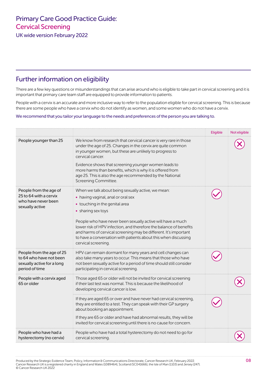<span id="page-8-0"></span>UK wide version February 2022

### <span id="page-8-1"></span>Further information on eligibility

There are a few key questions or misunderstandings that can arise around who is eligible to take part in cervical screening and it is important that primary care team staff are equipped to provide information to patients.

People with a cervix is an accurate and more inclusive way to refer to the population eligible for cervical screening. This is because there are some people who have a cervix who do not identify as women, and some women who do not have a cervix.

#### We recommend that you tailor your language to the needs and preferences of the person you are talking to.

|                                                                                                      |                                                                                                                                                                                                                                                                                                                                                                                                                                                     | Eligible | Not eligible |
|------------------------------------------------------------------------------------------------------|-----------------------------------------------------------------------------------------------------------------------------------------------------------------------------------------------------------------------------------------------------------------------------------------------------------------------------------------------------------------------------------------------------------------------------------------------------|----------|--------------|
| People younger than 25                                                                               | We know from research that cervical cancer is very rare in those<br>under the age of 25. Changes in the cervix are quite common<br>in younger women, but these are unlikely to progress to<br>cervical cancer.<br>Evidence shows that screening younger women leads to<br>more harms than benefits, which is why it is offered from<br>age 25. This is also the age recommended by the National<br>Screening Committee.                             |          |              |
| People from the age of<br>25 to 64 with a cervix<br>who have never been<br>sexually active           | When we talk about being sexually active, we mean:<br>• having vaginal, anal or oral sex<br>• touching in the genital area<br>• sharing sex toys<br>People who have never been sexually active will have a much<br>lower risk of HPV infection, and therefore the balance of benefits<br>and harms of cervical screening may be different. It's important<br>to have a conversation with patients about this when discussing<br>cervical screening. |          |              |
| People from the age of 25<br>to 64 who have not been<br>sexually active for a long<br>period of time | HPV can remain dormant for many years and cell changes can<br>also take many years to occur. This means that those who have<br>not been sexually active for a period of time should still consider<br>participating in cervical screening.                                                                                                                                                                                                          |          |              |
| People with a cervix aged<br>65 or older                                                             | Those aged 65 or older will not be invited for cervical screening<br>if their last test was normal. This is because the likelihood of<br>developing cervical cancer is low.                                                                                                                                                                                                                                                                         |          |              |
|                                                                                                      | If they are aged 65 or over and have never had cervical screening,<br>they are entitled to a test. They can speak with their GP surgery<br>about booking an appointment.<br>If they are 65 or older and have had abnormal results, they will be<br>invited for cervical screening until there is no cause for concern.                                                                                                                              |          |              |
| People who have had a<br>hysterectomy (no cervix)                                                    | People who have had a total hysterectomy do not need to go for<br>cervical screening.                                                                                                                                                                                                                                                                                                                                                               |          |              |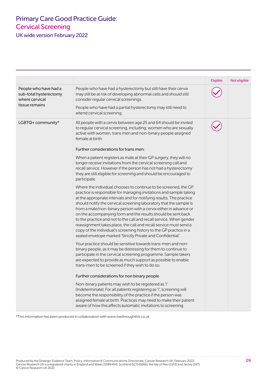UK wide version February 2022

|                                                                                     |                                                                                                                                                                                                                                                                                                                                                                                                                                                                                                                                                                                                                                                                                                          | Eligible | Not eligible |
|-------------------------------------------------------------------------------------|----------------------------------------------------------------------------------------------------------------------------------------------------------------------------------------------------------------------------------------------------------------------------------------------------------------------------------------------------------------------------------------------------------------------------------------------------------------------------------------------------------------------------------------------------------------------------------------------------------------------------------------------------------------------------------------------------------|----------|--------------|
| People who have had a<br>sub-total hysterectomy<br>where cervical<br>tissue remains | People who have had a hysterectomy but still have their cervix<br>may still be at risk of developing abnormal cells and should still<br>consider regular cervical screenings.                                                                                                                                                                                                                                                                                                                                                                                                                                                                                                                            |          |              |
|                                                                                     | People who have had a partial hysterectomy may still need to<br>attend cervical screening.                                                                                                                                                                                                                                                                                                                                                                                                                                                                                                                                                                                                               |          |              |
| LGBTQ+ community*                                                                   | All people with a cervix between age 25 and 64 should be invited<br>to regular cervical screening, including; women who are sexually<br>active with women, trans men and non-binary people assigned<br>female at birth.                                                                                                                                                                                                                                                                                                                                                                                                                                                                                  |          |              |
|                                                                                     | Further considerations for trans men:                                                                                                                                                                                                                                                                                                                                                                                                                                                                                                                                                                                                                                                                    |          |              |
|                                                                                     | When a patient registers as male at their GP surgery, they will no<br>longer receive invitations from the cervical screening call and<br>recall service. However if the person has not had a hysterectomy<br>they are still eligible for screening and should be encouraged to<br>participate.                                                                                                                                                                                                                                                                                                                                                                                                           |          |              |
|                                                                                     | Where the individual chooses to continue to be screened, the GP<br>practice is responsible for managing invitations and sample taking<br>at the appropriate intervals and for notifying results. The practice<br>should notify the cervical screening laboratory that the sample is<br>from a male/non-binary person with a cervix either in advance or<br>on the accompanying form and the results should be sent back<br>to the practice and not to the call and recall service. When gender<br>reassignment takes place, the call and recall service must send a<br>copy of the individual's screening history to the GP practice in a<br>sealed envelope marked 'Strictly Private and Confidential'. |          |              |
|                                                                                     | Your practice should be sensitive towards trans-men and non-<br>binary people, as it may be distressing for them to continue to<br>participate in the cervical screening programme. Sample takers<br>are expected to provide as much support as possible to enable<br>trans-men to be screened if they wish to do so.                                                                                                                                                                                                                                                                                                                                                                                    |          |              |
|                                                                                     | Further considerations for non binary people                                                                                                                                                                                                                                                                                                                                                                                                                                                                                                                                                                                                                                                             |          |              |
|                                                                                     | Non-binary patients may wish to be registered as 'l'<br>(Indeterminate). For all patients registering as 'I', screening will<br>become the responsibility of the practice if the person was<br>assigned female at birth. Practices may need to make their patient<br>aware of how this affects automatic invitations to screening.                                                                                                                                                                                                                                                                                                                                                                       |          |              |

\*This information has been produced in collaboration with [www.livethroughthis.co.uk](http://www.livethroughthis.co.uk)

Produced by the Strategic Evidence Team, Policy, Information & Communications Directorate, Cancer Research UK, February 2022. 09 Cancer Research UK is a registered charity in England and Wales (1089464), Scotland (SC041666), the Isle of Man (1103) and Jersey (247). © Cancer Research UK 2022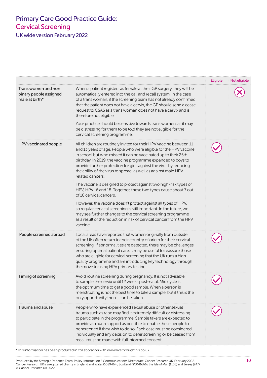UK wide version February 2022

| Trans women and non<br>binary people assigned<br>male at birth* | When a patient registers as female at their GP surgery, they will be<br>automatically entered into the call and recall system. In the case<br>of a trans woman, if the screening team has not already confirmed<br>that the patient does not have a cervix, the GP should send a cease<br>request to CSAS as a trans woman does not have a cervix and is<br>therefore not eligible.<br>Your practice should be sensitive towards trans women, as it may<br>be distressing for them to be told they are not eligible for the<br>cervical screening programme.                                                                                                                                                                                                                                                                                                                                            | Eligible | Not eligible |
|-----------------------------------------------------------------|---------------------------------------------------------------------------------------------------------------------------------------------------------------------------------------------------------------------------------------------------------------------------------------------------------------------------------------------------------------------------------------------------------------------------------------------------------------------------------------------------------------------------------------------------------------------------------------------------------------------------------------------------------------------------------------------------------------------------------------------------------------------------------------------------------------------------------------------------------------------------------------------------------|----------|--------------|
| HPV vaccinated people                                           | All children are routinely invited for their HPV vaccine between 11<br>and 13 years of age. People who were eligible for the HPV vaccine<br>in school but who missed it can be vaccinated up to their 25th<br>birthday. In 2019, the vaccine programme expanded to boys to<br>provide further protection for girls against the virus by reducing<br>the ability of the virus to spread, as well as against male HPV-<br>related cancers.<br>The vaccine is designed to protect against two high-risk types of<br>HPV, HPV 16 and 18. Together, these two types cause about 7 out<br>of 10 cervical cancers.<br>However, the vaccine doesn't protect against all types of HPV,<br>so regular cervical screening is still important. In the future, we<br>may see further changes to the cervical screening programme<br>as a result of the reduction in risk of cervical cancer from the HPV<br>vaccine. |          |              |
| People screened abroad                                          | Local areas have reported that women originally from outside<br>of the UK often return to their country of origin for their cervical<br>screening. If abnormalities are detected, there may be challenges<br>ensuring optimal patient care. It may be useful to reassure those<br>who are eligible for cervical screening that the UK runs a high-<br>quality programme and are introducing key technology through<br>the move to using HPV primary testing.                                                                                                                                                                                                                                                                                                                                                                                                                                            |          |              |
| Timing of screening                                             | Avoid routine screening during pregnancy. It is not advisable<br>to sample the cervix until 12 weeks post-natal. Mid cycle is<br>the optimum time to get a good sample. When a person is<br>menstruating is not the best time to take a sample, but if this is the<br>only opportunity then it can be taken.                                                                                                                                                                                                                                                                                                                                                                                                                                                                                                                                                                                            |          |              |
| Trauma and abuse                                                | People who have experienced sexual abuse or other sexual<br>trauma such as rape may find it extremely difficult or distressing<br>to participate in the programme. Sample takers are expected to<br>provide as much support as possible to enable these people to<br>be screened if they wish to do so. Each case must be considered<br>individually and any decision to defer screening or be ceased from<br>recall must be made with full informed consent.                                                                                                                                                                                                                                                                                                                                                                                                                                           |          |              |

\*This information has been produced in collaboration with [www.livethroughthis.co.uk](http://www.livethroughthis.co.uk)

Produced by the Strategic Evidence Team, Policy, Information & Communications Directorate, Cancer Research UK, February 2022. 10 Cancer Research UK is a registered charity in England and Wales (1089464), Scotland (SC041666), the Isle of Man (1103) and Jersey (247). © Cancer Research UK 2022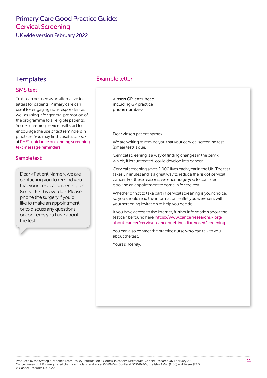<span id="page-11-0"></span>UK wide version February 2022

#### SMS text

Texts can be used as an alternative to letters for patients. Primary care can use it for engaging non-responders as well as using it for general promotion of the programme to all eligible patients. Some screening services will start to encourage the use of text reminders in practices. You may find it useful to look at [PHE's guidance on sending screening](https://phescreening.blog.gov.uk/2020/09/28/guidance-screening-text-message-reminders/)  [text message reminders](https://phescreening.blog.gov.uk/2020/09/28/guidance-screening-text-message-reminders/).

#### Sample text:

Dear <Patient Name>, we are contacting you to remind you that your cervical screening test (smear test) is overdue. Please phone the surgery if you'd like to make an appointment or to discuss any questions or concerns you have about the test.

#### Templates Example letter

<Insert GP letter-head including GP practice phone number>

Dear <insert patient name>

We are writing to remind you that your cervical screening test (smear test) is due.

Cervical screening is a way of finding changes in the cervix which, if left untreated, could develop into cancer.

Cervical screening saves 2,000 lives each year in the UK. The test takes 5 minutes and is a great way to reduce the risk of cervical cancer. For these reasons, we encourage you to consider booking an appointment to come in for the test.

Whether or not to take part in cervical screening is your choice, so you should read the information leaflet you were sent with your screening invitation to help you decide.

If you have access to the internet, further information about the test can be found here: [https://www.cancerresearchuk.org/](https://www.cancerresearchuk.org/about-cancer/cervical-cancer/getting-diagnosed/screening) [about-cancer/cervical-cancer/getting-diagnosed/screening](https://www.cancerresearchuk.org/about-cancer/cervical-cancer/getting-diagnosed/screening)

You can also contact the practice nurse who can talk to you about the test.

Yours sincerely,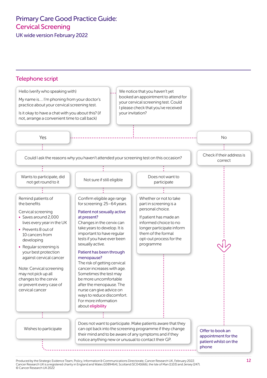<span id="page-12-0"></span>UK wide version February 2022



Cancer Research UK is a registered charity in England and Wales (1089464), Scotland (SC041666), the Isle of Man (1103) and Jersey (247). © Cancer Research UK 2022